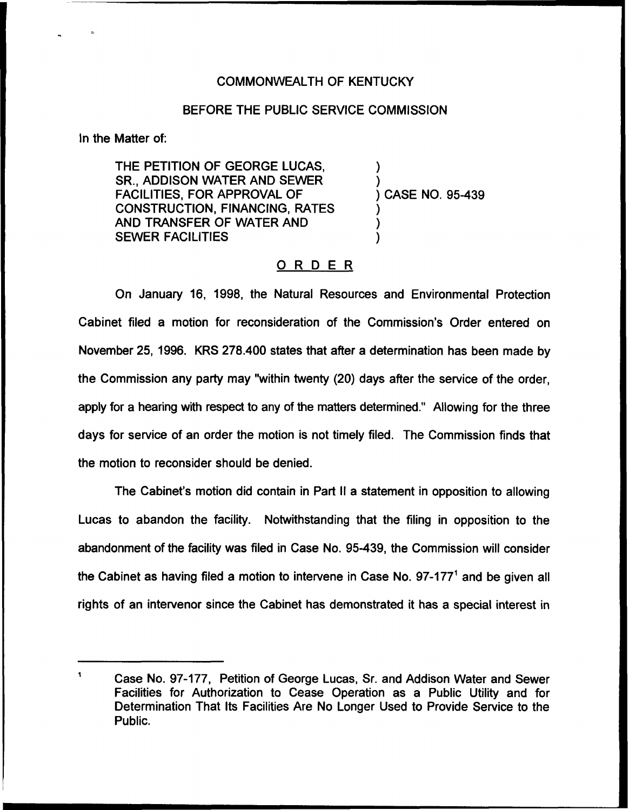## COMMONWEALTH OF KENTUCKY

## BEFORE THE PUBLIC SERVICE COMMISSION

ln the Matter of:

THE PETITION OF GEORGE LUCAS, SR., ADDISON WATER AND SEWER FACILITIES, FOR APPROVAL OF CONSTRUCTION, FINANCING, RATES AND TRANSFER OF WATER AND SEWER FACILITIES

) CASE NO. 95-439

) )

) ) )

## ORDER

On January 16, 1998, the Natural Resources and Environmental Protection Cabinet filed a motion for reconsideration of the Commission's Order entered on November 25, 1996. KRS 278.400 states that after a determination has been made by the Commission any party may "within twenty (20) days after the service of the order, apply for a hearing with respect to any of the matters determined." Allowing for the three days for service of an order the motion is not timely filed. The Commission finds that the motion to reconsider should be denied.

The Cabinet's motion did contain in Part II a statement in opposition to allowing Lucas to abandon the facility. Notwithstanding that the filing in opposition to the abandonment of the facility was filed in Case No. 95-439, the Commission will consider the Cabinet as having filed a motion to intervene in Case No.  $97-177$ <sup>1</sup> and be given all rights of an intervenor since the Cabinet has demonstrated it has a special interest in

 $\mathbf{1}$ Case No. 97-17?, Petition of George Lucas, Sr. and Addison Water and Sewer Facilities for Authorization to Cease Operation as a Public Utility and for Determination That Its Facilities Are No Longer Used to Provide Service to the Public.